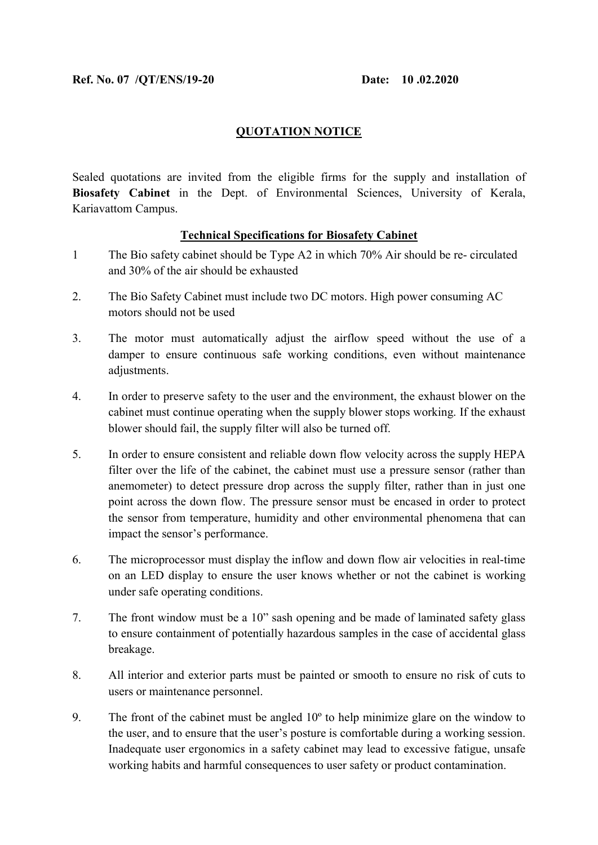## QUOTATION NOTICE

Sealed quotations are invited from the eligible firms for the supply and installation of Biosafety Cabinet in the Dept. of Environmental Sciences, University of Kerala, Kariavattom Campus.

## Technical Specifications for Biosafety Cabinet

- 1 The Bio safety cabinet should be Type A2 in which 70% Air should be re- circulated and 30% of the air should be exhausted
- 2. The Bio Safety Cabinet must include two DC motors. High power consuming AC motors should not be used
- 3. The motor must automatically adjust the airflow speed without the use of a damper to ensure continuous safe working conditions, even without maintenance adjustments.
- 4. In order to preserve safety to the user and the environment, the exhaust blower on the cabinet must continue operating when the supply blower stops working. If the exhaust blower should fail, the supply filter will also be turned off.
- 5. In order to ensure consistent and reliable down flow velocity across the supply HEPA filter over the life of the cabinet, the cabinet must use a pressure sensor (rather than anemometer) to detect pressure drop across the supply filter, rather than in just one point across the down flow. The pressure sensor must be encased in order to protect the sensor from temperature, humidity and other environmental phenomena that can impact the sensor's performance.
- 6. The microprocessor must display the inflow and down flow air velocities in real-time on an LED display to ensure the user knows whether or not the cabinet is working under safe operating conditions.
- 7. The front window must be a 10" sash opening and be made of laminated safety glass to ensure containment of potentially hazardous samples in the case of accidental glass breakage.
- 8. All interior and exterior parts must be painted or smooth to ensure no risk of cuts to users or maintenance personnel.
- 9. The front of the cabinet must be angled 10º to help minimize glare on the window to the user, and to ensure that the user's posture is comfortable during a working session. Inadequate user ergonomics in a safety cabinet may lead to excessive fatigue, unsafe working habits and harmful consequences to user safety or product contamination.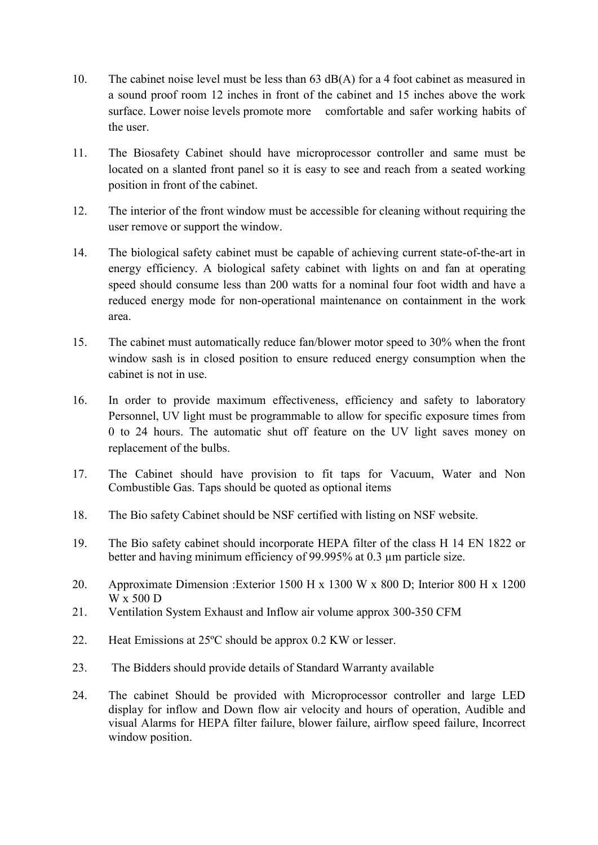- 10. The cabinet noise level must be less than 63 dB(A) for a 4 foot cabinet as measured in a sound proof room 12 inches in front of the cabinet and 15 inches above the work surface. Lower noise levels promote more comfortable and safer working habits of the user.
- 11. The Biosafety Cabinet should have microprocessor controller and same must be located on a slanted front panel so it is easy to see and reach from a seated working position in front of the cabinet.
- 12. The interior of the front window must be accessible for cleaning without requiring the user remove or support the window.
- 14. The biological safety cabinet must be capable of achieving current state-of-the-art in energy efficiency. A biological safety cabinet with lights on and fan at operating speed should consume less than 200 watts for a nominal four foot width and have a reduced energy mode for non-operational maintenance on containment in the work area.
- 15. The cabinet must automatically reduce fan/blower motor speed to 30% when the front window sash is in closed position to ensure reduced energy consumption when the cabinet is not in use.
- 16. In order to provide maximum effectiveness, efficiency and safety to laboratory Personnel, UV light must be programmable to allow for specific exposure times from 0 to 24 hours. The automatic shut off feature on the UV light saves money on replacement of the bulbs.
- 17. The Cabinet should have provision to fit taps for Vacuum, Water and Non Combustible Gas. Taps should be quoted as optional items
- 18. The Bio safety Cabinet should be NSF certified with listing on NSF website.
- 19. The Bio safety cabinet should incorporate HEPA filter of the class H 14 EN 1822 or better and having minimum efficiency of 99.995% at 0.3 µm particle size.
- 20. Approximate Dimension :Exterior 1500 H x 1300 W x 800 D; Interior 800 H x 1200 W x 500 D
- 21. Ventilation System Exhaust and Inflow air volume approx 300-350 CFM
- 22. Heat Emissions at 25ºC should be approx 0.2 KW or lesser.
- 23. The Bidders should provide details of Standard Warranty available
- 24. The cabinet Should be provided with Microprocessor controller and large LED display for inflow and Down flow air velocity and hours of operation, Audible and visual Alarms for HEPA filter failure, blower failure, airflow speed failure, Incorrect window position.